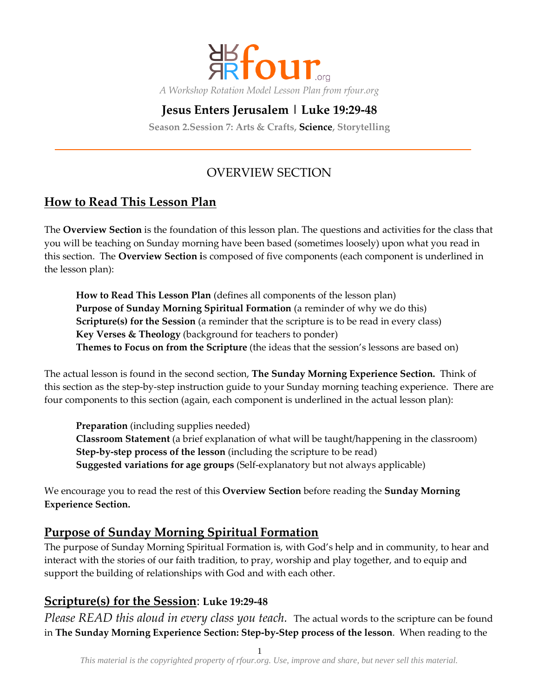

# **Jesus Enters Jerusalem | Luke 19:29-48**

**Season 2.Session 7: Arts & Crafts, Science, Storytelling**

# OVERVIEW SECTION

## **How to Read This Lesson Plan**

The **Overview Section** is the foundation of this lesson plan. The questions and activities for the class that you will be teaching on Sunday morning have been based (sometimes loosely) upon what you read in this section. The **Overview Section i**s composed of five components (each component is underlined in the lesson plan):

**How to Read This Lesson Plan** (defines all components of the lesson plan) **Purpose of Sunday Morning Spiritual Formation** (a reminder of why we do this) **Scripture(s) for the Session** (a reminder that the scripture is to be read in every class) **Key Verses & Theology** (background for teachers to ponder) **Themes to Focus on from the Scripture** (the ideas that the session's lessons are based on)

The actual lesson is found in the second section, **The Sunday Morning Experience Section.** Think of this section as the step-by-step instruction guide to your Sunday morning teaching experience. There are four components to this section (again, each component is underlined in the actual lesson plan):

**Preparation** (including supplies needed) **Classroom Statement** (a brief explanation of what will be taught/happening in the classroom) **Step-by-step process of the lesson** (including the scripture to be read) **Suggested variations for age groups** (Self-explanatory but not always applicable)

We encourage you to read the rest of this **Overview Section** before reading the **Sunday Morning Experience Section.**

#### **Purpose of Sunday Morning Spiritual Formation**

The purpose of Sunday Morning Spiritual Formation is, with God's help and in community, to hear and interact with the stories of our faith tradition, to pray, worship and play together, and to equip and support the building of relationships with God and with each other.

### **Scripture(s) for the Session**: **Luke 19:29-48**

*Please READ this aloud in every class you teach.* The actual words to the scripture can be found in **The Sunday Morning Experience Section: Step-by-Step process of the lesson**. When reading to the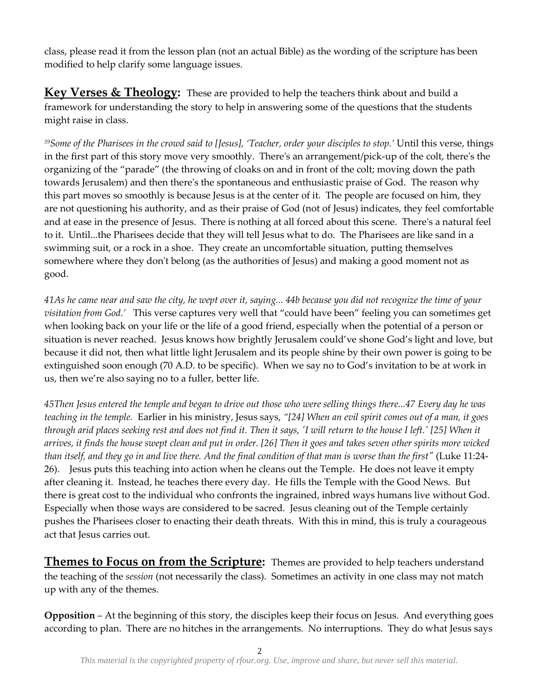class, please read it from the lesson plan (not an actual Bible) as the wording of the scripture has been modified to help clarify some language issues.

**Key Verses & Theology:** These are provided to help the teachers think about and build a framework for understanding the story to help in answering some of the questions that the students might raise in class.

*<sup>39</sup>Some of the Pharisees in the crowd said to [Jesus], 'Teacher, order your disciples to stop.'* Until this verse, things in the first part of this story move very smoothly. There's an arrangement/pick-up of the colt, there's the organizing of the 'parade' (the throwing of cloaks on and in front of the colt; moving down the path towards Jerusalem) and then there's the spontaneous and enthusiastic praise of God. The reason why this part moves so smoothly is because Jesus is at the center of it. The people are focused on him, they are not questioning his authority, and as their praise of God (not of Jesus) indicates, they feel comfortable and at ease in the presence of Jesus. There is nothing at all forced about this scene. There's a natural feel to it. Until...the Pharisees decide that they will tell Jesus what to do. The Pharisees are like sand in a swimming suit, or a rock in a shoe. They create an uncomfortable situation, putting themselves somewhere where they don't belong (as the authorities of Jesus) and making a good moment not as good.

*41As he came near and saw the city, he wept over it, saying... 44b because you did not recognize the time of your visitation from God.'* This verse captures very well that 'could have been' feeling you can sometimes get when looking back on your life or the life of a good friend, especially when the potential of a person or situation is never reached. Jesus knows how brightly Jerusalem could've shone God's light and love, but because it did not, then what little light Jerusalem and its people shine by their own power is going to be extinguished soon enough (70 A.D. to be specific). When we say no to God's invitation to be at work in us, then we're also saying no to a fuller, better life.

*45Then Jesus entered the temple and began to drive out those who were selling things there...47 Every day he was teaching in the temple.* Earlier in his ministry, Jesus says, *'[24] When an evil spirit comes out of a man, it goes through arid places seeking rest and does not find it. Then it says, 'I will return to the house I left.' [25] When it arrives, it finds the house swept clean and put in order. [26] Then it goes and takes seven other spirits more wicked than itself, and they go in and live there. And the final condition of that man is worse than the first"* (Luke 11:24- 26). Jesus puts this teaching into action when he cleans out the Temple. He does not leave it empty after cleaning it. Instead, he teaches there every day. He fills the Temple with the Good News. But there is great cost to the individual who confronts the ingrained, inbred ways humans live without God. Especially when those ways are considered to be sacred. Jesus cleaning out of the Temple certainly pushes the Pharisees closer to enacting their death threats. With this in mind, this is truly a courageous act that Jesus carries out.

**Themes to Focus on from the Scripture:** Themes are provided to help teachers understand the teaching of the *session* (not necessarily the class). Sometimes an activity in one class may not match up with any of the themes.

**Opposition** – At the beginning of this story, the disciples keep their focus on Jesus. And everything goes according to plan. There are no hitches in the arrangements. No interruptions. They do what Jesus says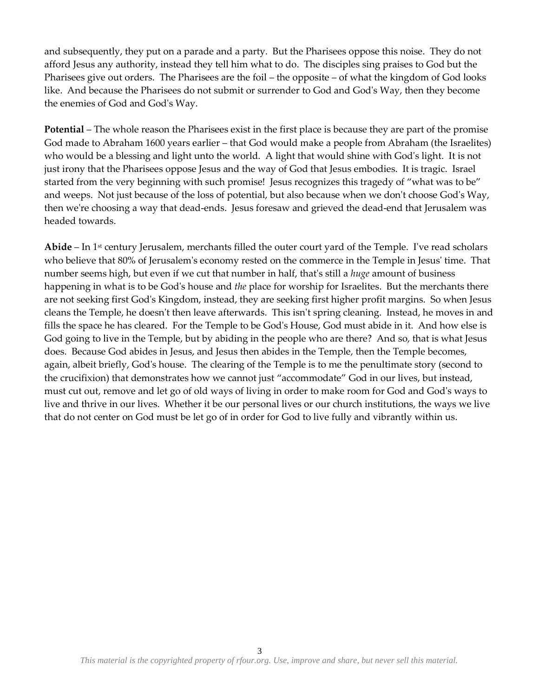and subsequently, they put on a parade and a party. But the Pharisees oppose this noise. They do not afford Jesus any authority, instead they tell him what to do. The disciples sing praises to God but the Pharisees give out orders. The Pharisees are the foil – the opposite – of what the kingdom of God looks like. And because the Pharisees do not submit or surrender to God and God's Way, then they become the enemies of God and God's Way.

**Potential** – The whole reason the Pharisees exist in the first place is because they are part of the promise God made to Abraham 1600 years earlier – that God would make a people from Abraham (the Israelites) who would be a blessing and light unto the world. A light that would shine with God's light. It is not just irony that the Pharisees oppose Jesus and the way of God that Jesus embodies. It is tragic. Israel started from the very beginning with such promise! Jesus recognizes this tragedy of 'what was to be' and weeps. Not just because of the loss of potential, but also because when we don't choose God's Way, then we're choosing a way that dead-ends. Jesus foresaw and grieved the dead-end that Jerusalem was headed towards.

**Abide** – In 1st century Jerusalem, merchants filled the outer court yard of the Temple. I've read scholars who believe that 80% of Jerusalem's economy rested on the commerce in the Temple in Jesus' time. That number seems high, but even if we cut that number in half, that's still a *huge* amount of business happening in what is to be God's house and *the* place for worship for Israelites. But the merchants there are not seeking first God's Kingdom, instead, they are seeking first higher profit margins. So when Jesus cleans the Temple, he doesn't then leave afterwards. This isn't spring cleaning. Instead, he moves in and fills the space he has cleared. For the Temple to be God's House, God must abide in it. And how else is God going to live in the Temple, but by abiding in the people who are there? And so, that is what Jesus does. Because God abides in Jesus, and Jesus then abides in the Temple, then the Temple becomes, again, albeit briefly, God's house. The clearing of the Temple is to me the penultimate story (second to the crucifixion) that demonstrates how we cannot just 'accommodate' God in our lives, but instead, must cut out, remove and let go of old ways of living in order to make room for God and God's ways to live and thrive in our lives. Whether it be our personal lives or our church institutions, the ways we live that do not center on God must be let go of in order for God to live fully and vibrantly within us.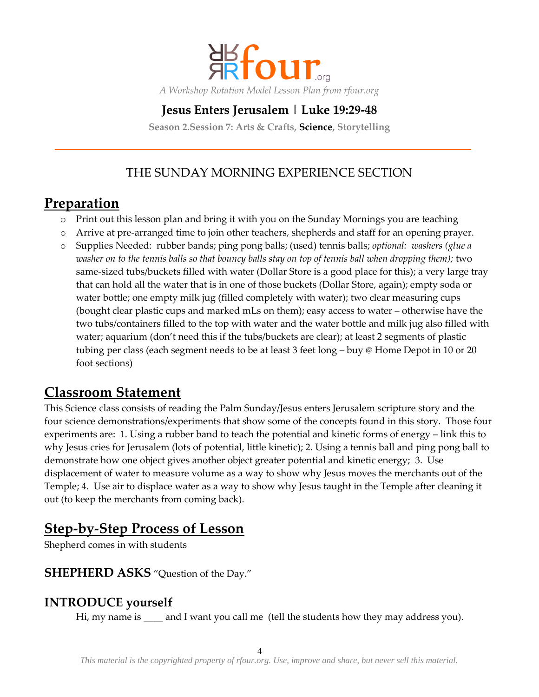

## **Jesus Enters Jerusalem | Luke 19:29-48**

**Season 2.Session 7: Arts & Crafts, Science, Storytelling**

# THE SUNDAY MORNING EXPERIENCE SECTION

# **Preparation**

- o Print out this lesson plan and bring it with you on the Sunday Mornings you are teaching
- o Arrive at pre-arranged time to join other teachers, shepherds and staff for an opening prayer.
- o Supplies Needed: rubber bands; ping pong balls; (used) tennis balls; *optional: washers (glue a washer on to the tennis balls so that bouncy balls stay on top of tennis ball when dropping them);* two same-sized tubs/buckets filled with water (Dollar Store is a good place for this); a very large tray that can hold all the water that is in one of those buckets (Dollar Store, again); empty soda or water bottle; one empty milk jug (filled completely with water); two clear measuring cups (bought clear plastic cups and marked mLs on them); easy access to water – otherwise have the two tubs/containers filled to the top with water and the water bottle and milk jug also filled with water; aquarium (don't need this if the tubs/buckets are clear); at least 2 segments of plastic tubing per class (each segment needs to be at least 3 feet long – buy @ Home Depot in 10 or 20 foot sections)

# **Classroom Statement**

This Science class consists of reading the Palm Sunday/Jesus enters Jerusalem scripture story and the four science demonstrations/experiments that show some of the concepts found in this story. Those four experiments are: 1. Using a rubber band to teach the potential and kinetic forms of energy – link this to why Jesus cries for Jerusalem (lots of potential, little kinetic); 2. Using a tennis ball and ping pong ball to demonstrate how one object gives another object greater potential and kinetic energy; 3. Use displacement of water to measure volume as a way to show why Jesus moves the merchants out of the Temple; 4. Use air to displace water as a way to show why Jesus taught in the Temple after cleaning it out (to keep the merchants from coming back).

# **Step-by-Step Process of Lesson**

Shepherd comes in with students

#### **SHEPHERD ASKS** "Question of the Day."

#### **INTRODUCE yourself**

Hi, my name is \_\_\_\_\_ and I want you call me (tell the students how they may address you).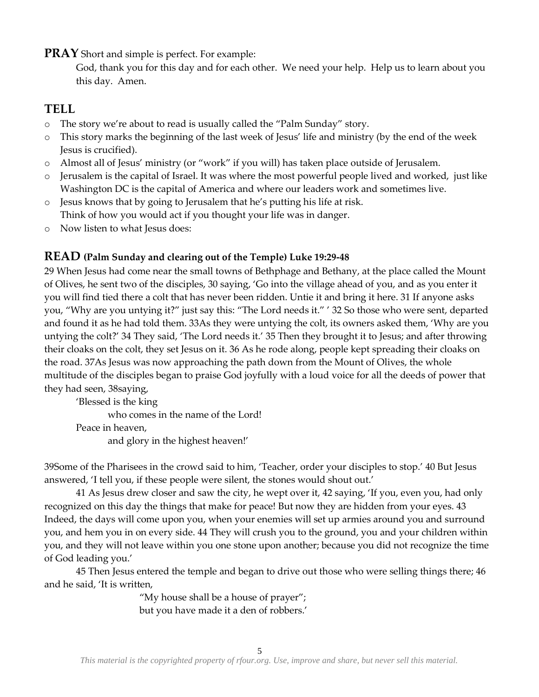**PRAY** Short and simple is perfect. For example:

God, thank you for this day and for each other. We need your help. Help us to learn about you this day. Amen.

## **TELL**

- o The story we're about to read is usually called the 'Palm Sunday' story.
- o This story marks the beginning of the last week of Jesus' life and ministry (by the end of the week Jesus is crucified).
- o Almost all of Jesus' ministry (or 'work' if you will) has taken place outside of Jerusalem.
- Jerusalem is the capital of Israel. It was where the most powerful people lived and worked, just like Washington DC is the capital of America and where our leaders work and sometimes live.
- o Jesus knows that by going to Jerusalem that he's putting his life at risk. Think of how you would act if you thought your life was in danger.
- o Now listen to what Jesus does:

#### **READ (Palm Sunday and clearing out of the Temple) Luke 19:29-48**

29 When Jesus had come near the small towns of Bethphage and Bethany, at the place called the Mount of Olives, he sent two of the disciples, 30 saying, 'Go into the village ahead of you, and as you enter it you will find tied there a colt that has never been ridden. Untie it and bring it here. 31 If anyone asks you, 'Why are you untying it?' just say this: 'The Lord needs it.' ' 32 So those who were sent, departed and found it as he had told them. 33As they were untying the colt, its owners asked them, 'Why are you untying the colt?' 34 They said, 'The Lord needs it.' 35 Then they brought it to Jesus; and after throwing their cloaks on the colt, they set Jesus on it. 36 As he rode along, people kept spreading their cloaks on the road. 37As Jesus was now approaching the path down from the Mount of Olives, the whole multitude of the disciples began to praise God joyfully with a loud voice for all the deeds of power that they had seen, 38saying,

'Blessed is the king who comes in the name of the Lord! Peace in heaven, and glory in the highest heaven!'

39Some of the Pharisees in the crowd said to him, 'Teacher, order your disciples to stop.' 40 But Jesus answered, 'I tell you, if these people were silent, the stones would shout out.'

41 As Jesus drew closer and saw the city, he wept over it, 42 saying, 'If you, even you, had only recognized on this day the things that make for peace! But now they are hidden from your eyes. 43 Indeed, the days will come upon you, when your enemies will set up armies around you and surround you, and hem you in on every side. 44 They will crush you to the ground, you and your children within you, and they will not leave within you one stone upon another; because you did not recognize the time of God leading you.'

45 Then Jesus entered the temple and began to drive out those who were selling things there; 46 and he said, 'It is written,

> 'My house shall be a house of prayer'; but you have made it a den of robbers.'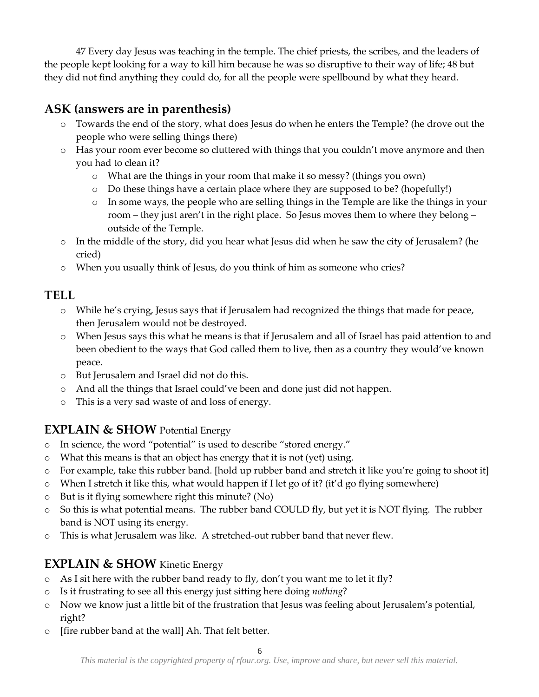47 Every day Jesus was teaching in the temple. The chief priests, the scribes, and the leaders of the people kept looking for a way to kill him because he was so disruptive to their way of life; 48 but they did not find anything they could do, for all the people were spellbound by what they heard.

# **ASK (answers are in parenthesis)**

- o Towards the end of the story, what does Jesus do when he enters the Temple? (he drove out the people who were selling things there)
- o Has your room ever become so cluttered with things that you couldn't move anymore and then you had to clean it?
	- o What are the things in your room that make it so messy? (things you own)
	- o Do these things have a certain place where they are supposed to be? (hopefully!)
	- o In some ways, the people who are selling things in the Temple are like the things in your room – they just aren't in the right place. So Jesus moves them to where they belong – outside of the Temple.
- o In the middle of the story, did you hear what Jesus did when he saw the city of Jerusalem? (he cried)
- o When you usually think of Jesus, do you think of him as someone who cries?

### **TELL**

- o While he's crying, Jesus says that if Jerusalem had recognized the things that made for peace, then Jerusalem would not be destroyed.
- o When Jesus says this what he means is that if Jerusalem and all of Israel has paid attention to and been obedient to the ways that God called them to live, then as a country they would've known peace.
- o But Jerusalem and Israel did not do this.
- o And all the things that Israel could've been and done just did not happen.
- o This is a very sad waste of and loss of energy.

### **EXPLAIN & SHOW** Potential Energy

- o In science, the word 'potential' is used to describe 'stored energy.'
- o What this means is that an object has energy that it is not (yet) using.
- $\circ$  For example, take this rubber band. [hold up rubber band and stretch it like you're going to shoot it]
- o When I stretch it like this, what would happen if I let go of it? (it'd go flying somewhere)
- o But is it flying somewhere right this minute? (No)
- o So this is what potential means. The rubber band COULD fly, but yet it is NOT flying. The rubber band is NOT using its energy.
- o This is what Jerusalem was like. A stretched-out rubber band that never flew.

# **EXPLAIN & SHOW** Kinetic Energy

- $\circ$  As I sit here with the rubber band ready to fly, don't you want me to let it fly?
- o Is it frustrating to see all this energy just sitting here doing *nothing*?
- o Now we know just a little bit of the frustration that Jesus was feeling about Jerusalem's potential, right?
- o [fire rubber band at the wall] Ah. That felt better.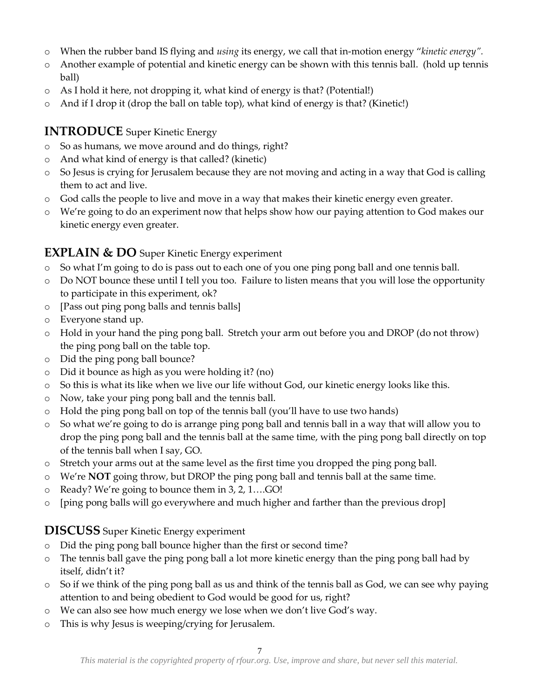- o When the rubber band IS flying and *using* its energy, we call that in-motion energy '*kinetic energy'.*
- o Another example of potential and kinetic energy can be shown with this tennis ball. (hold up tennis ball)
- o As I hold it here, not dropping it, what kind of energy is that? (Potential!)
- o And if I drop it (drop the ball on table top), what kind of energy is that? (Kinetic!)

#### **INTRODUCE** Super Kinetic Energy

- o So as humans, we move around and do things, right?
- o And what kind of energy is that called? (kinetic)
- o So Jesus is crying for Jerusalem because they are not moving and acting in a way that God is calling them to act and live.
- o God calls the people to live and move in a way that makes their kinetic energy even greater.
- o We're going to do an experiment now that helps show how our paying attention to God makes our kinetic energy even greater.

#### **EXPLAIN & DO** Super Kinetic Energy experiment

- o So what I'm going to do is pass out to each one of you one ping pong ball and one tennis ball.
- o Do NOT bounce these until I tell you too. Failure to listen means that you will lose the opportunity to participate in this experiment, ok?
- o [Pass out ping pong balls and tennis balls]
- o Everyone stand up.
- o Hold in your hand the ping pong ball. Stretch your arm out before you and DROP (do not throw) the ping pong ball on the table top.
- o Did the ping pong ball bounce?
- o Did it bounce as high as you were holding it? (no)
- o So this is what its like when we live our life without God, our kinetic energy looks like this.
- o Now, take your ping pong ball and the tennis ball.
- o Hold the ping pong ball on top of the tennis ball (you'll have to use two hands)
- o So what we're going to do is arrange ping pong ball and tennis ball in a way that will allow you to drop the ping pong ball and the tennis ball at the same time, with the ping pong ball directly on top of the tennis ball when I say, GO.
- o Stretch your arms out at the same level as the first time you dropped the ping pong ball.
- o We're **NOT** going throw, but DROP the ping pong ball and tennis ball at the same time.
- o Ready? We're going to bounce them in 3, 2, 1....GO!
- o [ping pong balls will go everywhere and much higher and farther than the previous drop]

#### **DISCUSS** Super Kinetic Energy experiment

- o Did the ping pong ball bounce higher than the first or second time?
- o The tennis ball gave the ping pong ball a lot more kinetic energy than the ping pong ball had by itself, didn't it?
- o So if we think of the ping pong ball as us and think of the tennis ball as God, we can see why paying attention to and being obedient to God would be good for us, right?
- o We can also see how much energy we lose when we don't live God's way.
- o This is why Jesus is weeping/crying for Jerusalem.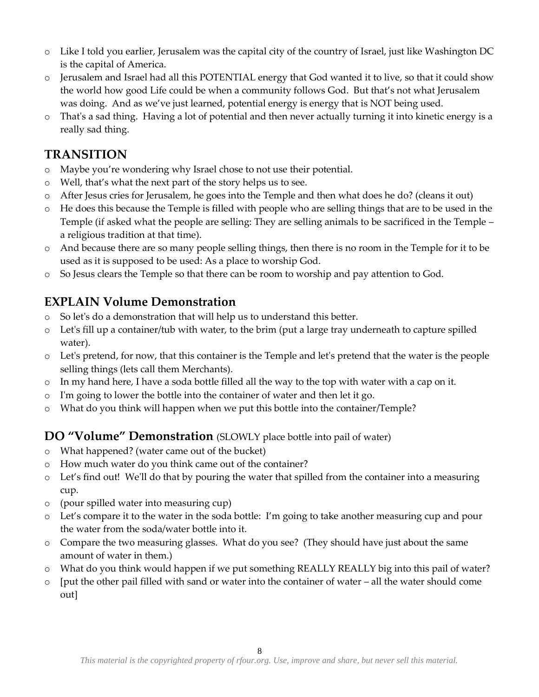- o Like I told you earlier, Jerusalem was the capital city of the country of Israel, just like Washington DC is the capital of America.
- o Jerusalem and Israel had all this POTENTIAL energy that God wanted it to live, so that it could show the world how good Life could be when a community follows God. But that's not what Jerusalem was doing. And as we've just learned, potential energy is energy that is NOT being used.
- o That's a sad thing. Having a lot of potential and then never actually turning it into kinetic energy is a really sad thing.

### **TRANSITION**

- o Maybe you're wondering why Israel chose to not use their potential.
- o Well, that's what the next part of the story helps us to see.
- o After Jesus cries for Jerusalem, he goes into the Temple and then what does he do? (cleans it out)
- o He does this because the Temple is filled with people who are selling things that are to be used in the Temple (if asked what the people are selling: They are selling animals to be sacrificed in the Temple – a religious tradition at that time).
- o And because there are so many people selling things, then there is no room in the Temple for it to be used as it is supposed to be used: As a place to worship God.
- o So Jesus clears the Temple so that there can be room to worship and pay attention to God.

### **EXPLAIN Volume Demonstration**

- o So let's do a demonstration that will help us to understand this better.
- o Let's fill up a container/tub with water, to the brim (put a large tray underneath to capture spilled water).
- o Let's pretend, for now, that this container is the Temple and let's pretend that the water is the people selling things (lets call them Merchants).
- o In my hand here, I have a soda bottle filled all the way to the top with water with a cap on it.
- o I'm going to lower the bottle into the container of water and then let it go.
- o What do you think will happen when we put this bottle into the container/Temple?

#### **DO "Volume" Demonstration** (SLOWLY place bottle into pail of water)

- o What happened? (water came out of the bucket)
- o How much water do you think came out of the container?
- o Let's find out! We'll do that by pouring the water that spilled from the container into a measuring cup.
- o (pour spilled water into measuring cup)
- o Let's compare it to the water in the soda bottle: I'm going to take another measuring cup and pour the water from the soda/water bottle into it.
- o Compare the two measuring glasses. What do you see? (They should have just about the same amount of water in them.)
- o What do you think would happen if we put something REALLY REALLY big into this pail of water?
- o [put the other pail filled with sand or water into the container of water all the water should come out]